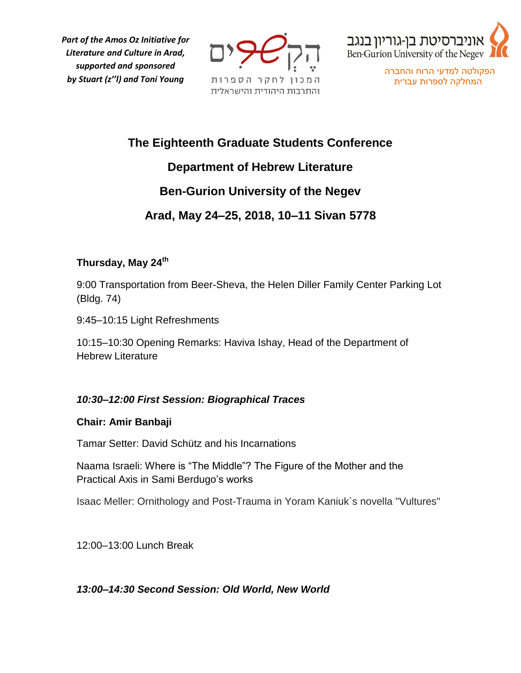*Part of the Amos Oz Initiative for Literature and Culture in Arad, supported and sponsored by Stuart (z''l) and Toni Young*





הפקולטה למדעי הרוח והחברה המחלקה לספרות עברית

# **The Eighteenth Graduate Students Conference**

# **Department of Hebrew Literature**

# **Ben-Gurion University of the Negev**

# **Arad, May 24–25, 2018, 10–11 Sivan 5778**

# **Thursday, May 24th**

9:00 Transportation from Beer-Sheva, the Helen Diller Family Center Parking Lot (Bldg. 74)

9:45–10:15 Light Refreshments

10:15–10:30 Opening Remarks: Haviva Ishay, Head of the Department of Hebrew Literature

# *10:30–12:00 First Session: Biographical Traces*

## **Chair: Amir Banbaji**

Tamar Setter: David Schütz and his Incarnations

Naama Israeli: Where is "The Middle"? The Figure of the Mother and the Practical Axis in Sami Berdugo's works

Isaac Meller: Ornithology and Post-Trauma in Yoram Kaniuk`s novella "Vultures"

12:00–13:00 Lunch Break

# *13:00–14:30 Second Session: Old World, New World*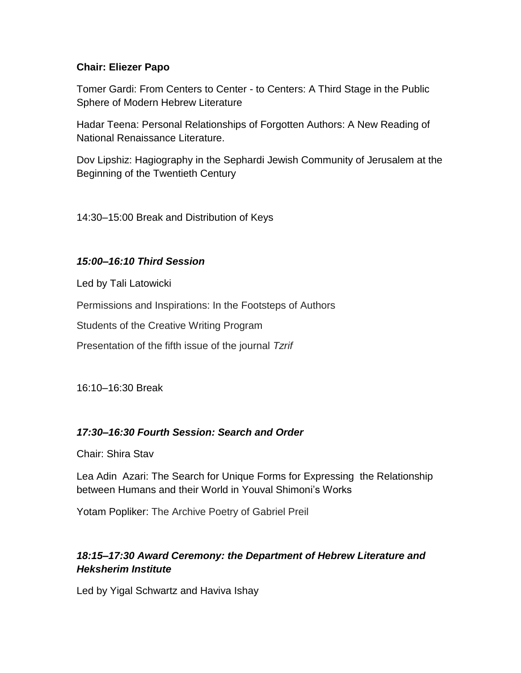#### **Chair: Eliezer Papo**

Tomer Gardi: From Centers to Center - to Centers: A Third Stage in the Public Sphere of Modern Hebrew Literature

Hadar Teena: Personal Relationships of Forgotten Authors: A New Reading of National Renaissance Literature.

Dov Lipshiz: Hagiography in the Sephardi Jewish Community of Jerusalem at the Beginning of the Twentieth Century

14:30–15:00 Break and Distribution of Keys

#### *15:00–16:10 Third Session*

Led by Tali Latowicki

Permissions and Inspirations: In the Footsteps of Authors

Students of the Creative Writing Program

Presentation of the fifth issue of the journal *Tzrif*

16:10–16:30 Break

## *17:30–16:30 Fourth Session: Search and Order*

Chair: Shira Stav

Lea Adin Azari: The Search for Unique Forms for Expressing the Relationship between Humans and their World in Youval Shimoni's Works

Yotam Popliker: The Archive Poetry of Gabriel Preil

# *18:15–17:30 Award Ceremony: the Department of Hebrew Literature and Heksherim Institute*

Led by Yigal Schwartz and Haviva Ishay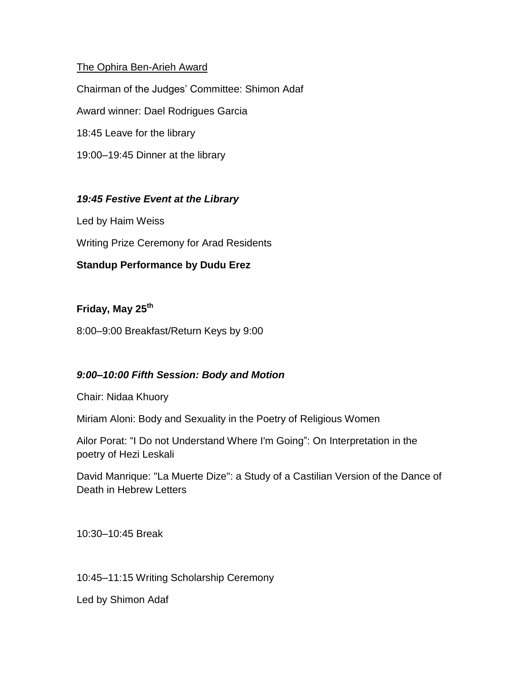#### The Ophira Ben-Arieh Award

Chairman of the Judges' Committee: Shimon Adaf Award winner: Dael Rodrigues Garcia 18:45 Leave for the library 19:00–19:45 Dinner at the library

## *19:45 Festive Event at the Library*

Led by Haim Weiss

Writing Prize Ceremony for Arad Residents

## **Standup Performance by Dudu Erez**

## **Friday, May 25th**

8:00–9:00 Breakfast/Return Keys by 9:00

## *9:00–10:00 Fifth Session: Body and Motion*

Chair: Nidaa Khuory

Miriam Aloni: Body and Sexuality in the Poetry of Religious Women

Ailor Porat: "I Do not Understand Where I'm Going": On Interpretation in the poetry of Hezi Leskali

David Manrique: "La Muerte Dize": a Study of a Castilian Version of the Dance of Death in Hebrew Letters

10:30–10:45 Break

10:45–11:15 Writing Scholarship Ceremony

Led by Shimon Adaf